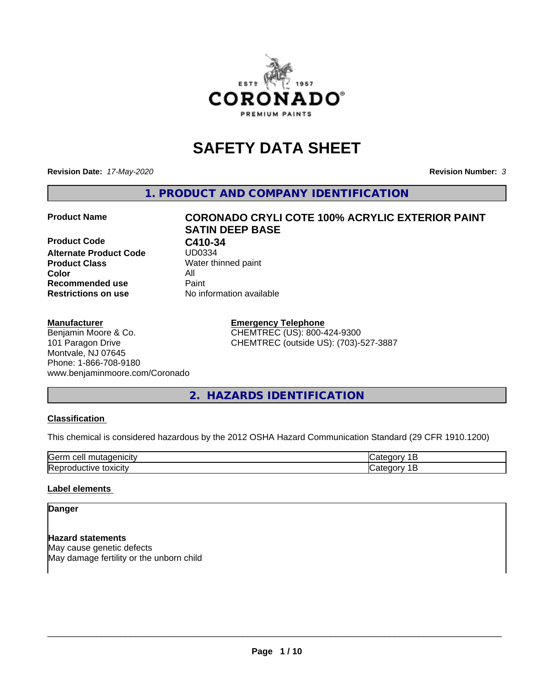

# **SAFETY DATA SHEET**

**Revision Date:** *17-May-2020* **Revision Number:** *3*

**1. PRODUCT AND COMPANY IDENTIFICATION**

#### **Product Name CORONADO CRYLI COTE 100% ACRYLIC EXTERIOR PAINT**

**Product Code C410-34**<br>Alternate Product Code UD0334 **Alternate Product Code Product Class** Water thinned paint<br> **Color** All **Color** All **Recommended use Caint Restrictions on use** No information available

# **SATIN DEEP BASE**

**Manufacturer**

# Benjamin Moore & Co. 101 Paragon Drive Montvale, NJ 07645 Phone: 1-866-708-9180 www.benjaminmoore.com/Coronado

**Emergency Telephone** CHEMTREC (US): 800-424-9300 CHEMTREC (outside US): (703)-527-3887

**2. HAZARDS IDENTIFICATION**

# **Classification**

This chemical is considered hazardous by the 2012 OSHA Hazard Communication Standard (29 CFR 1910.1200)

| lGeri<br>ווב        |  |
|---------------------|--|
| IR<br>---<br>.<br>. |  |

#### **Label elements**

# **Danger**

**Hazard statements** May cause genetic defects May damage fertility or the unborn child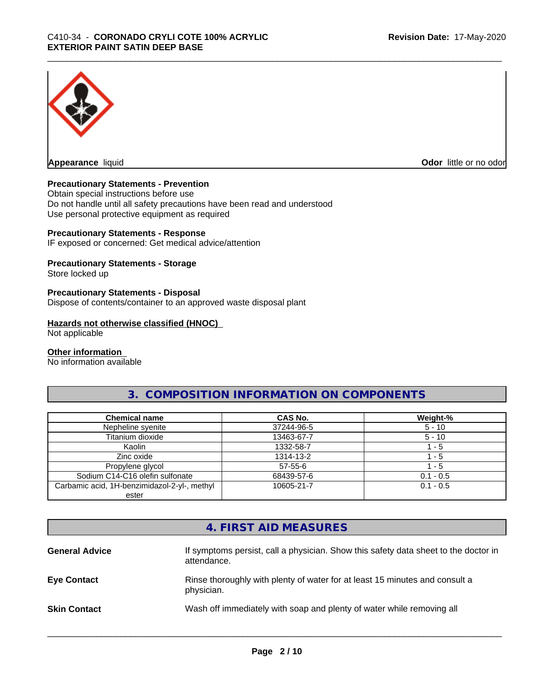

**Appearance** liquid **Odor in the original of the original of the original of the original of the original of the original of the original of the original of the original of the original of the original of the original of t** 

# **Precautionary Statements - Prevention**

Obtain special instructions before use Do not handle until all safety precautions have been read and understood Use personal protective equipment as required

#### **Precautionary Statements - Response**

IF exposed or concerned: Get medical advice/attention

# **Precautionary Statements - Storage**

Store locked up

#### **Precautionary Statements - Disposal**

Dispose of contents/container to an approved waste disposal plant

#### **Hazards not otherwise classified (HNOC)**

Not applicable

#### **Other information**

No information available

# **3. COMPOSITION INFORMATION ON COMPONENTS**

| <b>Chemical name</b>                         | CAS No.       | Weight-%    |
|----------------------------------------------|---------------|-------------|
| Nepheline syenite                            | 37244-96-5    | $5 - 10$    |
| Titanium dioxide                             | 13463-67-7    | $5 - 10$    |
| Kaolin                                       | 1332-58-7     | - 5         |
| Zinc oxide                                   | 1314-13-2     | - 5         |
| Propylene glycol                             | $57 - 55 - 6$ | - 5         |
| Sodium C14-C16 olefin sulfonate              | 68439-57-6    | $0.1 - 0.5$ |
| Carbamic acid, 1H-benzimidazol-2-yl-, methyl | 10605-21-7    | $0.1 - 0.5$ |
| ester                                        |               |             |

# **4. FIRST AID MEASURES**

| <b>General Advice</b> | If symptoms persist, call a physician. Show this safety data sheet to the doctor in<br>attendance. |
|-----------------------|----------------------------------------------------------------------------------------------------|
| <b>Eye Contact</b>    | Rinse thoroughly with plenty of water for at least 15 minutes and consult a<br>physician.          |
| <b>Skin Contact</b>   | Wash off immediately with soap and plenty of water while removing all                              |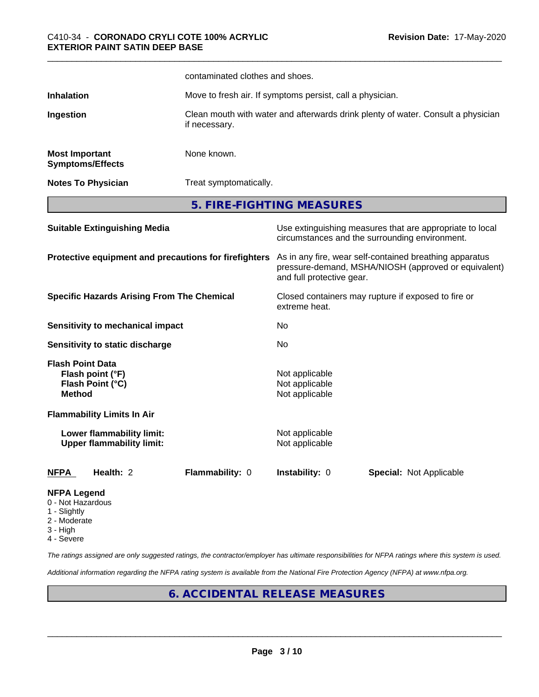|                                                                         |                                                               | contaminated clothes and shoes.                           |                                                                                  |                                                                                                                 |  |
|-------------------------------------------------------------------------|---------------------------------------------------------------|-----------------------------------------------------------|----------------------------------------------------------------------------------|-----------------------------------------------------------------------------------------------------------------|--|
| <b>Inhalation</b>                                                       |                                                               | Move to fresh air. If symptoms persist, call a physician. |                                                                                  |                                                                                                                 |  |
| Ingestion                                                               |                                                               | if necessary.                                             | Clean mouth with water and afterwards drink plenty of water. Consult a physician |                                                                                                                 |  |
| <b>Most Important</b>                                                   | <b>Symptoms/Effects</b>                                       | None known.                                               |                                                                                  |                                                                                                                 |  |
|                                                                         | <b>Notes To Physician</b>                                     | Treat symptomatically.                                    |                                                                                  |                                                                                                                 |  |
|                                                                         |                                                               |                                                           | 5. FIRE-FIGHTING MEASURES                                                        |                                                                                                                 |  |
|                                                                         | <b>Suitable Extinguishing Media</b>                           |                                                           |                                                                                  | Use extinguishing measures that are appropriate to local<br>circumstances and the surrounding environment.      |  |
|                                                                         |                                                               | Protective equipment and precautions for firefighters     | and full protective gear.                                                        | As in any fire, wear self-contained breathing apparatus<br>pressure-demand, MSHA/NIOSH (approved or equivalent) |  |
|                                                                         | <b>Specific Hazards Arising From The Chemical</b>             |                                                           | extreme heat.                                                                    | Closed containers may rupture if exposed to fire or                                                             |  |
|                                                                         | Sensitivity to mechanical impact                              |                                                           | No                                                                               |                                                                                                                 |  |
|                                                                         | <b>Sensitivity to static discharge</b>                        |                                                           | No.                                                                              |                                                                                                                 |  |
| <b>Flash Point Data</b><br><b>Method</b>                                | Flash point (°F)<br>Flash Point (°C)                          |                                                           | Not applicable<br>Not applicable<br>Not applicable                               |                                                                                                                 |  |
|                                                                         | <b>Flammability Limits In Air</b>                             |                                                           |                                                                                  |                                                                                                                 |  |
|                                                                         | Lower flammability limit:<br><b>Upper flammability limit:</b> |                                                           | Not applicable<br>Not applicable                                                 |                                                                                                                 |  |
| <b>NFPA</b>                                                             | Health: 2                                                     | Flammability: 0                                           | Instability: 0                                                                   | <b>Special: Not Applicable</b>                                                                                  |  |
| <b>NFPA Legend</b><br>0 - Not Hazardous<br>1 - Slightly<br>2 - Moderate |                                                               |                                                           |                                                                                  |                                                                                                                 |  |

- 3 High
- 
- 4 Severe

*The ratings assigned are only suggested ratings, the contractor/employer has ultimate responsibilities for NFPA ratings where this system is used.*

*Additional information regarding the NFPA rating system is available from the National Fire Protection Agency (NFPA) at www.nfpa.org.*

# **6. ACCIDENTAL RELEASE MEASURES**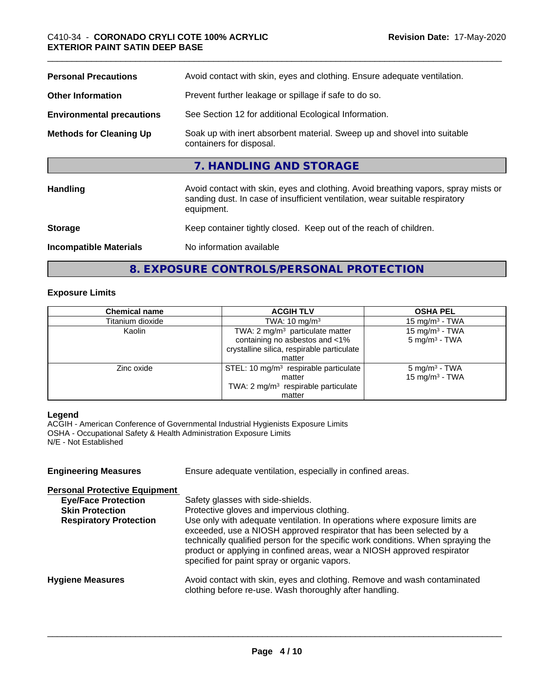| Avoid contact with skin, eyes and clothing. Avoid breathing vapors, spray mists or |
|------------------------------------------------------------------------------------|
|                                                                                    |
|                                                                                    |
|                                                                                    |

**8. EXPOSURE CONTROLS/PERSONAL PROTECTION**

# **Exposure Limits**

| <b>Chemical name</b> | <b>ACGIH TLV</b>                                | <b>OSHA PEL</b>           |
|----------------------|-------------------------------------------------|---------------------------|
| Titanium dioxide     | TWA: $10 \text{ mg/m}^3$                        | $15 \text{ mg/m}^3$ - TWA |
| Kaolin               | TWA: $2 \text{ mg/m}^3$ particulate matter      | 15 mg/m $3$ - TWA         |
|                      | containing no asbestos and <1%                  | $5 \text{ mg/m}^3$ - TWA  |
|                      | crystalline silica, respirable particulate      |                           |
|                      | matter                                          |                           |
| Zinc oxide           | STEL: 10 $mg/m3$ respirable particulate         | 5 mg/m <sup>3</sup> - TWA |
|                      | matter                                          | $15 \text{ mg/m}^3$ - TWA |
|                      | TWA: 2 mg/m <sup>3</sup> respirable particulate |                           |
|                      | matter                                          |                           |

# **Legend**

ACGIH - American Conference of Governmental Industrial Hygienists Exposure Limits OSHA - Occupational Safety & Health Administration Exposure Limits N/E - Not Established

| <b>Engineering Measures</b>                                                                                                   | Ensure adequate ventilation, especially in confined areas.                                                                                                                                                                                                                                                                                                                                                                                             |
|-------------------------------------------------------------------------------------------------------------------------------|--------------------------------------------------------------------------------------------------------------------------------------------------------------------------------------------------------------------------------------------------------------------------------------------------------------------------------------------------------------------------------------------------------------------------------------------------------|
| <b>Personal Protective Equipment</b><br><b>Eye/Face Protection</b><br><b>Skin Protection</b><br><b>Respiratory Protection</b> | Safety glasses with side-shields.<br>Protective gloves and impervious clothing.<br>Use only with adequate ventilation. In operations where exposure limits are<br>exceeded, use a NIOSH approved respirator that has been selected by a<br>technically qualified person for the specific work conditions. When spraying the<br>product or applying in confined areas, wear a NIOSH approved respirator<br>specified for paint spray or organic vapors. |
| <b>Hygiene Measures</b>                                                                                                       | Avoid contact with skin, eyes and clothing. Remove and wash contaminated<br>clothing before re-use. Wash thoroughly after handling.                                                                                                                                                                                                                                                                                                                    |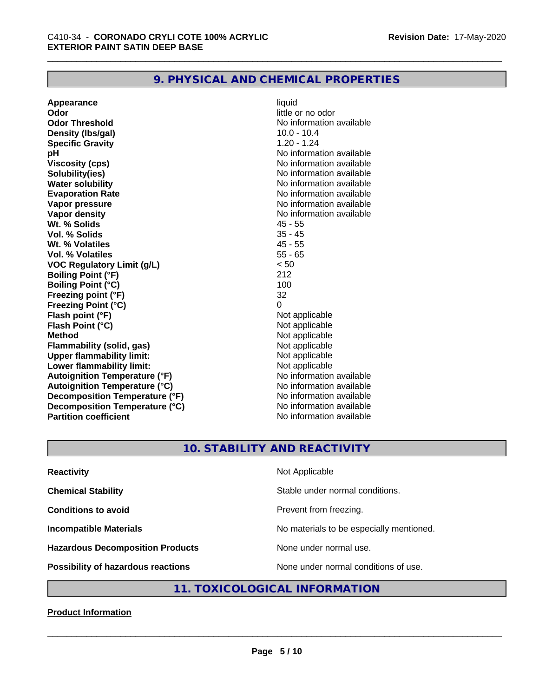# **9. PHYSICAL AND CHEMICAL PROPERTIES**

**Appearance** liquid **Odor** little or no odor **Odor Threshold No information available No information available Density (lbs/gal)** 10.0 - 10.4<br> **Specific Gravity** 1 20 - 124 **Specific Gravity pH** No information available **Viscosity (cps)** No information available **Solubility(ies)** No information available **Water solubility**<br> **Evaporation Rate**<br> **Evaporation Rate**<br> **Evaporation Rate Vapor pressure** No information available **Vapor density**<br> **We Solids** Museum Museum Museum Museum AS - 55<br>
45 - 55 **Wt. % Solids** 45 - 55<br> **Vol. % Solids** 35 - 45 **Vol. % Solids Wt. % Volatiles** 45 - 55 **Vol. % Volatiles** 55 - 65 **VOC Regulatory Limit (g/L)** < 50 **Boiling Point (°F)** 212 **Boiling Point (°C)** 100 **Freezing point (°F)** 32 **Freezing Point (°C)** 0 **Flash point (°F)**<br> **Flash Point (°C)**<br> **Flash Point (°C)**<br> **Not** applicable **Flash Point (°C) Method**<br> **Flammability (solid, gas)**<br> **Example 2018** Not applicable **Flammability** (solid, gas) **Upper flammability limit:**<br> **Lower flammability limit:**<br>
Not applicable<br>
Not applicable **Lower flammability limit:**<br> **Autoignition Temperature (°F)** Not applicable have not available **Autoignition Temperature (°F) Autoignition Temperature (°C)** No information available **Decomposition Temperature (°F)** No information available **Decomposition Temperature (°C)** No information available **Partition coefficient Contract Contract Contract Contract Contract Contract Contract Contract Contract Contract Contract Contract Contract Contract Contract Contract Contract Contract Contract Contract Contract Contract** 

**Evaporation Rate** No information available

# **10. STABILITY AND REACTIVITY**

| <b>Reactivity</b>                       | Not Applicable                           |
|-----------------------------------------|------------------------------------------|
| <b>Chemical Stability</b>               | Stable under normal conditions.          |
| <b>Conditions to avoid</b>              | Prevent from freezing.                   |
| <b>Incompatible Materials</b>           | No materials to be especially mentioned. |
| <b>Hazardous Decomposition Products</b> | None under normal use.                   |
| Possibility of hazardous reactions      | None under normal conditions of use.     |

# **11. TOXICOLOGICAL INFORMATION**

# **Product Information**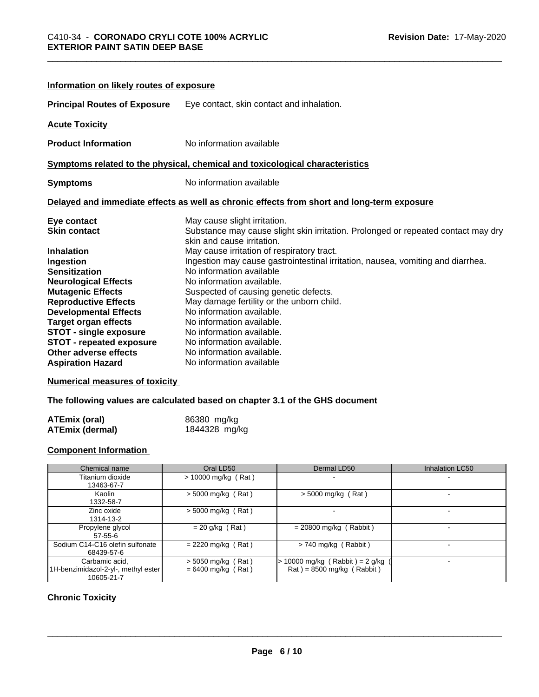| Information on likely routes of exposure |                                                                                                                 |
|------------------------------------------|-----------------------------------------------------------------------------------------------------------------|
| <b>Principal Routes of Exposure</b>      | Eye contact, skin contact and inhalation.                                                                       |
| <b>Acute Toxicity</b>                    |                                                                                                                 |
| <b>Product Information</b>               | No information available                                                                                        |
|                                          | Symptoms related to the physical, chemical and toxicological characteristics                                    |
| <b>Symptoms</b>                          | No information available                                                                                        |
|                                          | Delayed and immediate effects as well as chronic effects from short and long-term exposure                      |
| Eye contact                              | May cause slight irritation.                                                                                    |
| <b>Skin contact</b>                      | Substance may cause slight skin irritation. Prolonged or repeated contact may dry<br>skin and cause irritation. |
| <b>Inhalation</b>                        | May cause irritation of respiratory tract.                                                                      |
| Ingestion                                | Ingestion may cause gastrointestinal irritation, nausea, vomiting and diarrhea.                                 |
| <b>Sensitization</b>                     | No information available                                                                                        |
| <b>Neurological Effects</b>              | No information available.                                                                                       |
| <b>Mutagenic Effects</b>                 | Suspected of causing genetic defects.                                                                           |
| <b>Reproductive Effects</b>              | May damage fertility or the unborn child.                                                                       |
| <b>Developmental Effects</b>             | No information available.                                                                                       |
| <b>Target organ effects</b>              | No information available.                                                                                       |
| <b>STOT - single exposure</b>            | No information available.                                                                                       |
| <b>STOT - repeated exposure</b>          | No information available.                                                                                       |
| Other adverse effects                    | No information available.                                                                                       |
| <b>Aspiration Hazard</b>                 | No information available                                                                                        |

## **Numerical measures of toxicity**

**The following values are calculated based on chapter 3.1 of the GHS document**

| <b>ATEmix (oral)</b> | 86380 mg/kg   |
|----------------------|---------------|
| ATEmix (dermal)      | 1844328 mg/kg |

## **Component Information**

| Chemical name                                                       | Oral LD50                                    | Dermal LD50                                                                          | Inhalation LC50 |
|---------------------------------------------------------------------|----------------------------------------------|--------------------------------------------------------------------------------------|-----------------|
| Titanium dioxide<br>13463-67-7                                      | $> 10000$ mg/kg (Rat)                        |                                                                                      |                 |
| Kaolin<br>1332-58-7                                                 | $>$ 5000 mg/kg (Rat)                         | $>$ 5000 mg/kg (Rat)                                                                 |                 |
| Zinc oxide<br>1314-13-2                                             | $>$ 5000 mg/kg (Rat)                         |                                                                                      |                 |
| Propylene glycol<br>$57-55-6$                                       | $= 20$ g/kg (Rat)                            | $= 20800$ mg/kg (Rabbit)                                                             |                 |
| Sodium C14-C16 olefin sulfonate<br>68439-57-6                       | $= 2220$ mg/kg (Rat)                         | $> 740$ mg/kg (Rabbit)                                                               |                 |
| Carbamic acid,<br>1H-benzimidazol-2-yl-, methyl ester<br>10605-21-7 | $>$ 5050 mg/kg (Rat)<br>$= 6400$ mg/kg (Rat) | 10000 mg/kg (Rabbit) = $2$ g/kg (<br>$\text{Rat}$ ) = 8500 mg/kg ( $\text{Rabbit}$ ) |                 |

# **Chronic Toxicity**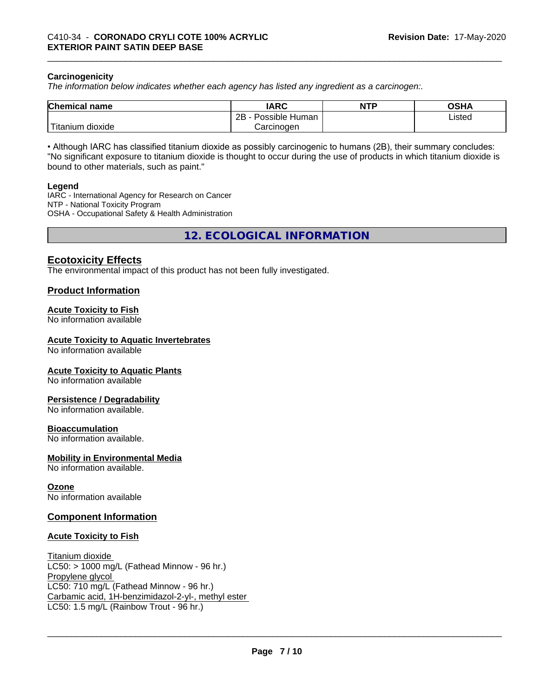#### **Carcinogenicity**

*The information below indicateswhether each agency has listed any ingredient as a carcinogen:.*

| <b>Chemical name</b>                    | <b>IARC</b>                    | <b>NTP</b> | ៱ເມ∧<br>שטש |
|-----------------------------------------|--------------------------------|------------|-------------|
|                                         | .<br>2B<br>-<br>Possible Human |            | Listed      |
| بالمواقعة المراد<br>dioxide<br>Titanium | Carcinogen                     |            |             |

• Although IARC has classified titanium dioxide as possibly carcinogenic to humans (2B), their summary concludes: "No significant exposure to titanium dioxide is thought to occur during the use of products in which titanium dioxide is bound to other materials, such as paint."

#### **Legend**

IARC - International Agency for Research on Cancer NTP - National Toxicity Program OSHA - Occupational Safety & Health Administration

**12. ECOLOGICAL INFORMATION**

# **Ecotoxicity Effects**

The environmental impact of this product has not been fully investigated.

## **Product Information**

#### **Acute Toxicity to Fish**

No information available

#### **Acute Toxicity to Aquatic Invertebrates**

No information available

#### **Acute Toxicity to Aquatic Plants**

No information available

#### **Persistence / Degradability**

No information available.

#### **Bioaccumulation**

No information available.

#### **Mobility in Environmental Media**

No information available.

#### **Ozone**

No information available

# **Component Information**

#### **Acute Toxicity to Fish**

Titanium dioxide  $LC50: > 1000$  mg/L (Fathead Minnow - 96 hr.) Propylene glycol LC50: 710 mg/L (Fathead Minnow - 96 hr.) Carbamic acid, 1H-benzimidazol-2-yl-, methyl ester LC50: 1.5 mg/L (Rainbow Trout - 96 hr.)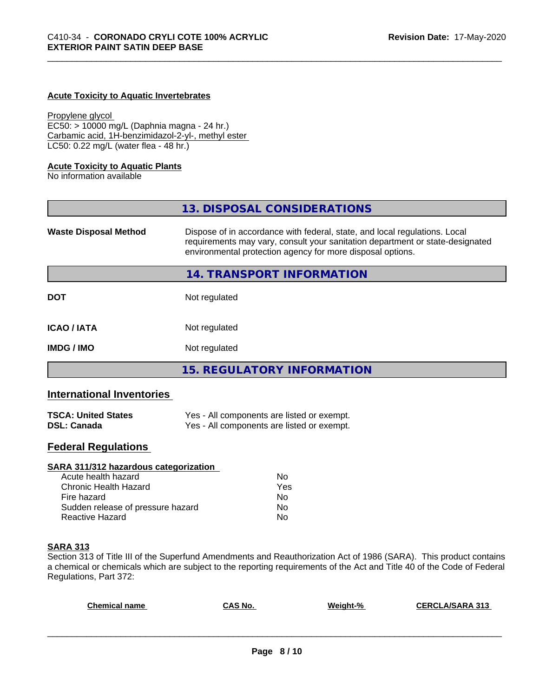#### **Acute Toxicity to Aquatic Invertebrates**

#### Propylene glycol

EC50: > 10000 mg/L (Daphnia magna - 24 hr.) Carbamic acid, 1H-benzimidazol-2-yl-, methyl ester LC50: 0.22 mg/L (water flea - 48 hr.)

#### **Acute Toxicity to Aquatic Plants**

No information available

|                              | 13. DISPOSAL CONSIDERATIONS                                                                                                                                                                                               |
|------------------------------|---------------------------------------------------------------------------------------------------------------------------------------------------------------------------------------------------------------------------|
| <b>Waste Disposal Method</b> | Dispose of in accordance with federal, state, and local regulations. Local<br>requirements may vary, consult your sanitation department or state-designated<br>environmental protection agency for more disposal options. |
|                              | 14. TRANSPORT INFORMATION                                                                                                                                                                                                 |
| <b>DOT</b>                   | Not regulated                                                                                                                                                                                                             |
| <b>ICAO/IATA</b>             | Not regulated                                                                                                                                                                                                             |
| <b>IMDG/IMO</b>              | Not regulated                                                                                                                                                                                                             |
|                              | <b>15. REGULATORY INFORMATION</b>                                                                                                                                                                                         |

# **International Inventories**

| <b>TSCA: United States</b> | Yes - All components are listed or exempt. |
|----------------------------|--------------------------------------------|
| <b>DSL: Canada</b>         | Yes - All components are listed or exempt. |

# **Federal Regulations**

| SARA 311/312 hazardous categorization |     |  |
|---------------------------------------|-----|--|
| Acute health hazard                   | Nο  |  |
| Chronic Health Hazard                 | Yes |  |
| Fire hazard                           | Nο  |  |
| Sudden release of pressure hazard     | Nο  |  |
| <b>Reactive Hazard</b>                | No  |  |

# **SARA 313**

Section 313 of Title III of the Superfund Amendments and Reauthorization Act of 1986 (SARA). This product contains a chemical or chemicals which are subject to the reporting requirements of the Act and Title 40 of the Code of Federal Regulations, Part 372:

| <b>Chemical name</b> | CAS No. | Weight-% | <b>CERCLA/SARA 313</b> |
|----------------------|---------|----------|------------------------|
|                      |         |          |                        |
|                      |         |          |                        |
|                      |         |          |                        |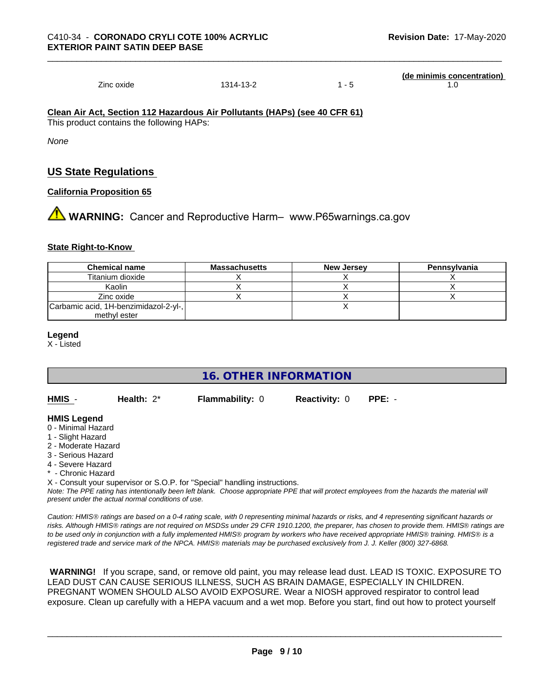Zinc oxide 1314-13-2 1 - 5 1.0

**(de minimis concentration)**

**Clean Air Act,Section 112 Hazardous Air Pollutants (HAPs) (see 40 CFR 61)**

This product contains the following HAPs:

*None*

# **US State Regulations**

# **California Proposition 65**

**AN** WARNING: Cancer and Reproductive Harm– www.P65warnings.ca.gov

# **State Right-to-Know**

| <b>Chemical name</b>                  | <b>Massachusetts</b> | <b>New Jersey</b> | Pennsylvania |
|---------------------------------------|----------------------|-------------------|--------------|
| Titanium dioxide                      |                      |                   |              |
| Kaolin                                |                      |                   |              |
| Zinc oxide                            |                      |                   |              |
| Carbamic acid, 1H-benzimidazol-2-yl-, |                      |                   |              |
| methyl ester                          |                      |                   |              |

**Legend**

X - Listed

**16. OTHER INFORMATION**

**HMIS** - **Health:** 2\* **Flammability:** 0 **Reactivity:** 0 **PPE:** -

# **HMIS Legend**

- 0 Minimal Hazard
- 1 Slight Hazard
- 2 Moderate Hazard
- 3 Serious Hazard
- 4 Severe Hazard
- Chronic Hazard

X - Consult your supervisor or S.O.P. for "Special" handling instructions.

*Note: The PPE rating has intentionally been left blank. Choose appropriate PPE that will protect employees from the hazards the material will present under the actual normal conditions of use.*

*Caution: HMISÒ ratings are based on a 0-4 rating scale, with 0 representing minimal hazards or risks, and 4 representing significant hazards or risks. Although HMISÒ ratings are not required on MSDSs under 29 CFR 1910.1200, the preparer, has chosen to provide them. HMISÒ ratings are to be used only in conjunction with a fully implemented HMISÒ program by workers who have received appropriate HMISÒ training. HMISÒ is a registered trade and service mark of the NPCA. HMISÒ materials may be purchased exclusively from J. J. Keller (800) 327-6868.*

 **WARNING!** If you scrape, sand, or remove old paint, you may release lead dust. LEAD IS TOXIC. EXPOSURE TO LEAD DUST CAN CAUSE SERIOUS ILLNESS, SUCH AS BRAIN DAMAGE, ESPECIALLY IN CHILDREN. PREGNANT WOMEN SHOULD ALSO AVOID EXPOSURE.Wear a NIOSH approved respirator to control lead exposure. Clean up carefully with a HEPA vacuum and a wet mop. Before you start, find out how to protect yourself